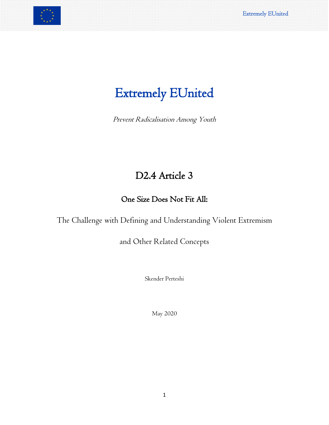# Extremely EUnited

Prevent Radicalisation Among Youth

## D2.4 Article 3

## One Size Does Not Fit All:

The Challenge with Defining and Understanding Violent Extremism

and Other Related Concepts

Skender Perteshi

May 2020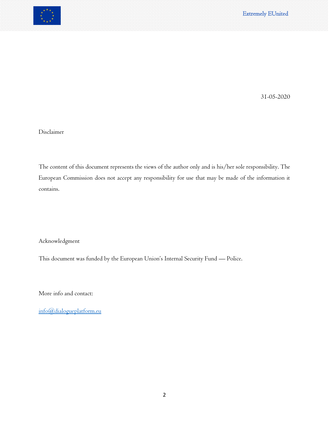

31-05-2020

Disclaimer

The content of this document represents the views of the author only and is his/her sole responsibility. The European Commission does not accept any responsibility for use that may be made of the information it contains.

Acknowledgment

This document was funded by the European Union's Internal Security Fund — Police.

More info and contact:

[info@dialogueplatform.eu](mailto:info@dialogueplatform.eu)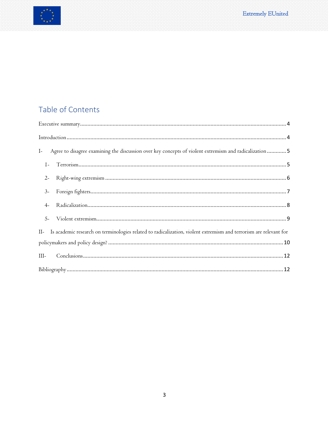

## Table of Contents

| Agree to disagree examining the discussion over key concepts of violent extremism and radicalization  5<br>$I-$       |
|-----------------------------------------------------------------------------------------------------------------------|
| Terrorism<br>5<br>$1-$                                                                                                |
| $2 -$                                                                                                                 |
| $3-$                                                                                                                  |
| $4-$                                                                                                                  |
| $5-$                                                                                                                  |
| II- Is academic research on terminologies related to radicalization, violent extremism and terrorism are relevant for |
|                                                                                                                       |
| $III-$                                                                                                                |
|                                                                                                                       |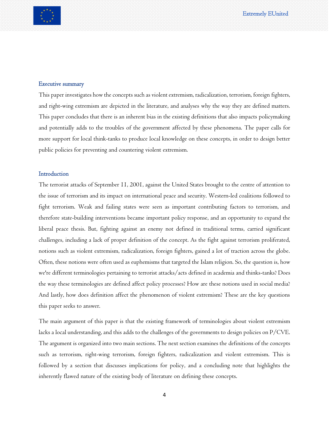#### <span id="page-3-0"></span>Executive summary

This paper investigates how the concepts such as violent extremism, radicalization, terrorism, foreign fighters, and right-wing extremism are depicted in the literature, and analyses why the way they are defined matters. This paper concludes that there is an inherent bias in the existing definitions that also impacts policymaking and potentially adds to the troubles of the government affected by these phenomena. The paper calls for more support for local think-tanks to produce local knowledge on these concepts, in order to design better public policies for preventing and countering violent extremism.

#### <span id="page-3-1"></span>**Introduction**

The terrorist attacks of September 11, 2001, against the United States brought to the centre of attention to the issue of terrorism and its impact on international peace and security. Western-led coalitions followed to fight terrorism. Weak and failing states were seen as important contributing factors to terrorism, and therefore state-building interventions became important policy response, and an opportunity to expand the liberal peace thesis. But, fighting against an enemy not defined in traditional terms, carried significant challenges, including a lack of proper definition of the concept. As the fight against terrorism proliferated, notions such as violent extremism, radicalization, foreign fighters, gained a lot of traction across the globe. Often, these notions were often used as euphemisms that targeted the Islam religion. So, the question is, how we're different terminologies pertaining to terrorist attacks/acts defined in academia and thinks-tanks? Does the way these terminologies are defined affect policy processes? How are these notions used in social media? And lastly, how does definition affect the phenomenon of violent extremism? These are the key questions this paper seeks to answer.

The main argument of this paper is that the existing framework of terminologies about violent extremism lacks a local understanding, and this adds to the challenges of the governments to design policies on P/CVE. The argument is organized into two main sections. The next section examines the definitions of the concepts such as terrorism, right-wing terrorism, foreign fighters, radicalization and violent extremism. This is followed by a section that discusses implications for policy, and a concluding note that highlights the inherently flawed nature of the existing body of literature on defining these concepts.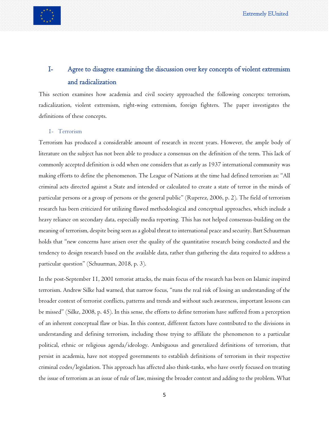

### <span id="page-4-0"></span>I- Agree to disagree examining the discussion over key concepts of violent extremism and radicalization

This section examines how academia and civil society approached the following concepts: terrorism, radicalization, violent extremism, right-wing extremism, foreign fighters. The paper investigates the definitions of these concepts.

#### <span id="page-4-1"></span>1- Terrorism

Terrorism has produced a considerable amount of research in recent years. However, the ample body of literature on the subject has not been able to produce a consensus on the definition of the term. This lack of commonly accepted definition is odd when one considers that as early as 1937 international community was making efforts to define the phenomenon. The League of Nations at the time had defined terrorism as: "All criminal acts directed against a State and intended or calculated to create a state of terror in the minds of particular persons or a group of persons or the general public" (Ruperez, 2006, p. 2). The field of terrorism research has been criticized for utilizing flawed methodological and conceptual approaches, which include a heavy reliance on secondary data, especially media reporting. This has not helped consensus-building on the meaning of terrorism, despite being seen as a global threat to international peace and security. Bart Schuurman holds that "new concerns have arisen over the quality of the quantitative research being conducted and the tendency to design research based on the available data, rather than gathering the data required to address a particular question" (Schuurman, 2018, p. 3).

In the post-September 11, 2001 terrorist attacks, the main focus of the research has been on Islamic inspired terrorism. Andrew Silke had warned, that narrow focus, "runs the real risk of losing an understanding of the broader context of terrorist conflicts, patterns and trends and without such awareness, important lessons can be missed" (Silke, 2008, p. 45). In this sense, the efforts to define terrorism have suffered from a perception of an inherent conceptual flaw or bias. In this context, different factors have contributed to the divisions in understanding and defining terrorism, including those trying to affiliate the phenomenon to a particular political, ethnic or religious agenda/ideology. Ambiguous and generalized definitions of terrorism, that persist in academia, have not stopped governments to establish definitions of terrorism in their respective criminal codes/legislation. This approach has affected also think-tanks, who have overly focused on treating the issue of terrorism as an issue of rule of law, missing the broader context and adding to the problem. What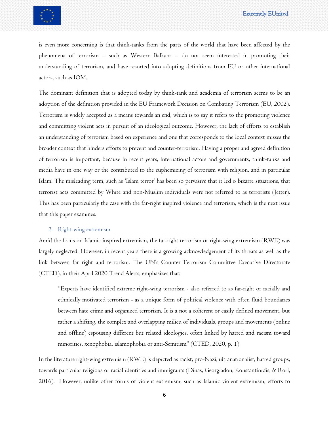

is even more concerning is that think-tanks from the parts of the world that have been affected by the phenomena of terrorism – such as Western Balkans – do not seem interested in promoting their understanding of terrorism, and have resorted into adopting definitions from EU or other international actors, such as IOM.

The dominant definition that is adopted today by think-tank and academia of terrorism seems to be an adoption of the definition provided in the EU Framework Decision on Combating Terrorism (EU, 2002). Terrorism is widely accepted as a means towards an end, which is to say it refers to the promoting violence and committing violent acts in pursuit of an ideological outcome. However, the lack of efforts to establish an understanding of terrorism based on experience and one that corresponds to the local context misses the broader context that hinders efforts to prevent and counter-terrorism. Having a proper and agreed definition of terrorism is important, because in recent years, international actors and governments, think-tanks and media have in one way or the contributed to the euphemizing of terrorism with religion, and in particular Islam. The misleading term, such as 'Islam terror' has been so pervasive that it led o bizarre situations, that terrorist acts committed by White and non-Muslim individuals were not referred to as terrorists (Jetter). This has been particularly the case with the far-right inspired violence and terrorism, which is the next issue that this paper examines.

#### <span id="page-5-0"></span>2- Right-wing extremism

Amid the focus on Islamic inspired extremism, the far-right terrorism or right-wing extremism (RWE) was largely neglected. However, in recent years there is a growing acknowledgement of its threats as well as the link between far right and terrorism. The UN's Counter-Terrorism Committee Executive Directorate (CTED), in their April 2020 Trend Alerts, emphasizes that:

"Experts have identified extreme right-wing terrorism - also referred to as far-right or racially and ethnically motivated terrorism - as a unique form of political violence with often fluid boundaries between hate crime and organized terrorism. It is a not a coherent or easily defined movement, but rather a shifting, the complex and overlapping milieu of individuals, groups and movements (online and offline) espousing different but related ideologies, often linked by hatred and racism toward minorities, xenophobia, islamophobia or anti-Semitism" (CTED, 2020, p. 1)

In the literature right-wing extremism (RWE) is depicted as racist, pro-Nazi, ultranationalist, hatred groups, towards particular religious or racial identities and immigrants (Dinas, Georgiadou, Konstantinidis, & Rori, 2016). However, unlike other forms of violent extremism, such as Islamic-violent extremism, efforts to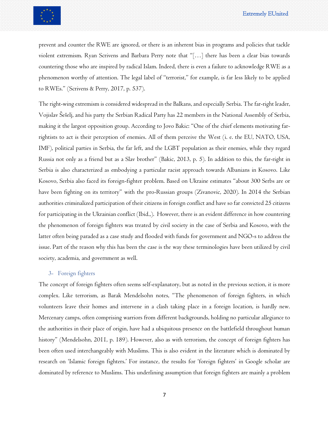

prevent and counter the RWE are ignored, or there is an inherent bias in programs and policies that tackle violent extremism. Ryan Scrivens and Barbara Perry note that "[…] there has been a clear bias towards countering those who are inspired by radical Islam. Indeed, there is even a failure to acknowledge RWE as a phenomenon worthy of attention. The legal label of ''terrorist,'' for example, is far less likely to be applied to RWEs." (Scrivens & Perry, 2017, p. 537).

The right-wing extremism is considered widespread in the Balkans, and especially Serbia. The far-right leader, Vojislav Šešelj, and his party the Serbian Radical Party has 22 members in the National Assembly of Serbia, making it the largest opposition group. According to Jovo Bakic: "One of the chief elements motivating farrightists to act is their perception of enemies. All of them perceive the West (i. e. the EU, NATO, USA, IMF), political parties in Serbia, the far left, and the LGBT population as their enemies, while they regard Russia not only as a friend but as a Slav brother" (Bakic, 2013, p. 5). In addition to this, the far-right in Serbia is also characterized as embodying a particular racist approach towards Albanians in Kosovo. Like Kosovo, Serbia also faced its foreign-fighter problem. Based on Ukraine estimates "about 300 Serbs are or have been fighting on its territory" with the pro-Russian groups (Zivanovic, 2020). In 2014 the Serbian authorities criminalized participation of their citizens in foreign conflict and have so far convicted 25 citizens for participating in the Ukrainian conflict (Ibid.,). However, there is an evident difference in how countering the phenomenon of foreign fighters was treated by civil society in the case of Serbia and Kosovo, with the latter often being paraded as a case study and flooded with funds for government and NGO-s to address the issue. Part of the reason why this has been the case is the way these terminologies have been utilized by civil society, academia, and government as well.

#### <span id="page-6-0"></span>3- Foreign fighters

The concept of foreign fighters often seems self-explanatory, but as noted in the previous section, it is more complex. Like terrorism, as Barak Mendelsohn notes, "The phenomenon of foreign fighters, in which volunteers leave their homes and intervene in a clash taking place in a foreign location, is hardly new. Mercenary camps, often comprising warriors from different backgrounds, holding no particular allegiance to the authorities in their place of origin, have had a ubiquitous presence on the battlefield throughout human history" (Mendelsohn, 2011, p. 189). However, also as with terrorism, the concept of foreign fighters has been often used interchangeably with Muslims. This is also evident in the literature which is dominated by research on 'Islamic foreign fighters.' For instance, the results for 'foreign fighters' in Google scholar are dominated by reference to Muslims. This underlining assumption that foreign fighters are mainly a problem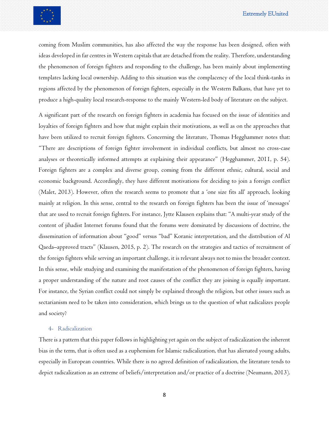coming from Muslim communities, has also affected the way the response has been designed, often with ideas developed in far centres in Western capitals that are detached from the reality. Therefore, understanding the phenomenon of foreign fighters and responding to the challenge, has been mainly about implementing templates lacking local ownership. Adding to this situation was the complacency of the local think-tanks in regions affected by the phenomenon of foreign fighters, especially in the Western Balkans, that have yet to produce a high-quality local research-response to the mainly Western-led body of literature on the subject.

A significant part of the research on foreign fighters in academia has focused on the issue of identities and loyalties of foreign fighters and how that might explain their motivations, as well as on the approaches that have been utilized to recruit foreign fighters. Concerning the literature, Thomas Hegghammer notes that: "There are descriptions of foreign fighter involvement in individual conflicts, but almost no cross-case analyses or theoretically informed attempts at explaining their appearance" (Hegghammer, 2011, p. 54). Foreign fighters are a complex and diverse group, coming from the different ethnic, cultural, social and economic background. Accordingly, they have different motivations for deciding to join a foreign conflict (Malet, 2013). However, often the research seems to promote that a 'one size fits all' approach, looking mainly at religion. In this sense, central to the research on foreign fighters has been the issue of 'messages' that are used to recruit foreign fighters. For instance, Jytte Klausen explains that: "A multi-year study of the content of jihadist Internet forums found that the forums were dominated by discussions of doctrine, the dissemination of information about "good" versus "bad" Koranic interpretation, and the distribution of Al Qaeda–approved tracts" (Klausen, 2015, p. 2). The research on the strategies and tactics of recruitment of the foreign fighters while serving an important challenge, it is relevant always not to miss the broader context. In this sense, while studying and examining the manifestation of the phenomenon of foreign fighters, having a proper understanding of the nature and root causes of the conflict they are joining is equally important. For instance, the Syrian conflict could not simply be explained through the religion, but other issues such as sectarianism need to be taken into consideration, which brings us to the question of what radicalizes people and society?

#### <span id="page-7-0"></span>4- Radicalization

There is a pattern that this paper follows in highlighting yet again on the subject of radicalization the inherent bias in the term, that is often used as a euphemism for Islamic radicalization, that has alienated young adults, especially in European countries. While there is no agreed definition of radicalization, the literature tends to depict radicalization as an extreme of beliefs/interpretation and/or practice of a doctrine (Neumann, 2013).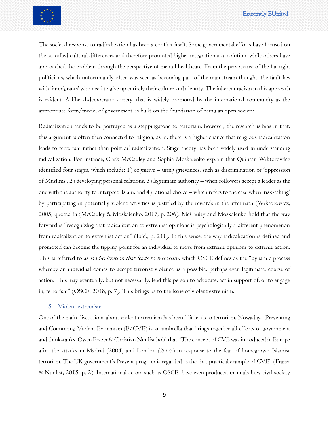

The societal response to radicalization has been a conflict itself. Some governmental efforts have focused on the so-called cultural differences and therefore promoted higher integration as a solution, while others have approached the problem through the perspective of mental healthcare. From the perspective of the far-right politicians, which unfortunately often was seen as becoming part of the mainstream thought, the fault lies with 'immigrants' who need to give up entirely their culture and identity. The inherent racism in this approach is evident. A liberal-democratic society, that is widely promoted by the international community as the appropriate form/model of government, is built on the foundation of being an open society.

Radicalization tends to be portrayed as a steppingstone to terrorism, however, the research is bias in that, this argument is often then connected to religion, as in, there is a higher chance that religious radicalization leads to terrorism rather than political radicalization. Stage theory has been widely used in understanding radicalization. For instance, Clark McCauley and Sophia Moskalenko explain that Quintan Wiktorowicz identified four stages, which include: 1) cognitive – using grievances, such as discrimination or 'oppression of Muslims', 2) developing personal relations, 3) legitimate authority – when followers accept a leader as the one with the authority to interpret Islam, and 4) rational choice – which refers to the case when 'risk-taking' by participating in potentially violent activities is justified by the rewards in the aftermath (Wiktorowicz, 2005, quoted in (McCauley & Moskalenko, 2017, p. 206). McCauley and Moskalenko hold that the way forward is "recognizing that radicalization to extremist opinions is psychologically a different phenomenon from radicalization to extremist action" (Ibid., p. 211). In this sense, the way radicalization is defined and promoted can become the tipping point for an individual to move from extreme opinions to extreme action. This is referred to as *Radicalization that leads to terrorism*, which OSCE defines as the "dynamic process" whereby an individual comes to accept terrorist violence as a possible, perhaps even legitimate, course of action. This may eventually, but not necessarily, lead this person to advocate, act in support of, or to engage in, terrorism" (OSCE, 2018, p. 7). This brings us to the issue of violent extremism.

#### <span id="page-8-0"></span>5- Violent extremism

One of the main discussions about violent extremism has been if it leads to terrorism. Nowadays, Preventing and Countering Violent Extremism (P/CVE) is an umbrella that brings together all efforts of government and think-tanks. Owen Frazer & Christian Nünlist hold that "The concept of CVE was introduced in Europe after the attacks in Madrid (2004) and London (2005) in response to the fear of homegrown Islamist terrorism. The UK government's Prevent program is regarded as the first practical example of CVE" (Frazer & Nünlist, 2015, p. 2). International actors such as OSCE, have even produced manuals how civil society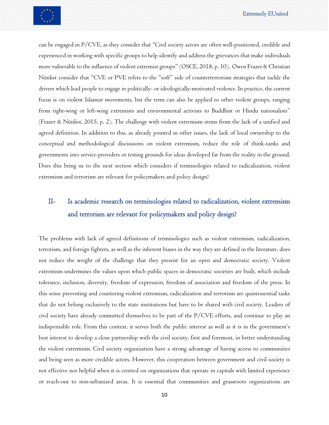can be engaged in P/CVE, as they consider that "Civil society actors are often well-positioned, credible and experienced in working with specific groups to help identify and address the grievances that make individuals more vulnerable to the influence of violent extremist groups" (OSCE, 2018, p. 10). Owen Frazer & Christian Nünlist consider that "CVE or PVE refers to the "soft" side of counterterrorism strategies that tackle the drivers which lead people to engage in politically- or ideologically-motivated violence. In practice, the current focus is on violent Islamist movements, but the term can also be applied to other violent groups, ranging from right-wing or left-wing extremists and environmental activists to Buddhist or Hindu nationalists" (Frazer & Nünlist, 2015, p. 2). The challenge with violent extremism stems from the lack of a unified and agreed definition. In addition to this, as already pointed in other issues, the lack of local ownership to the conceptual and methodological discussions on violent extremism, reduce the role of think-tanks and governments into service-providers or testing grounds for ideas developed far from the reality in the ground. Does this bring us to the next section which considers if terminologies related to radicalization, violent extremism and terrorism are relevant for policymakers and policy design?

## <span id="page-9-0"></span>II- Is academic research on terminologies related to radicalization, violent extremism and terrorism are relevant for policymakers and policy design?

The problems with lack of agreed definitions of terminologies such as violent extremism, radicalization, terrorism, and foreign fighters, as well as the inherent biases in the way they are defined in the literature, does not reduce the weight of the challenge that they present for an open and democratic society. Violent extremism undermines the values upon which public spaces in democratic societies are built, which include tolerance, inclusion, diversity, freedom of expression, freedom of association and freedom of the press. In this sense preventing and countering violent extremism, radicalization and terrorism are quintessential tasks that do not belong exclusively to the state institutions but have to be shared with civil society. Leaders of civil society have already committed themselves to be part of the P/CVE efforts, and continue to play an indispensable role. From this context, it serves both the public interest as well as it is in the government's best interest to develop a close partnership with the civil society, first and foremost, in better understanding the violent extremism. Civil society organization have a strong advantage of having access to communities and being seen as more credible actors. However, this cooperation between government and civil society is not effective nor helpful when it is centred on organizations that operate in capitals with limited experience or reach-out to non-urbanized areas. It is essential that communities and grassroots organizations are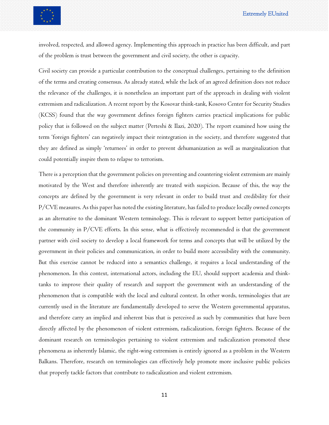

involved, respected, and allowed agency. Implementing this approach in practice has been difficult, and part of the problem is trust between the government and civil society, the other is capacity.

Civil society can provide a particular contribution to the conceptual challenges, pertaining to the definition of the terms and creating consensus. As already stated, while the lack of an agreed definition does not reduce the relevance of the challenges, it is nonetheless an important part of the approach in dealing with violent extremism and radicalization. A recent report by the Kosovar think-tank, Kosovo Center for Security Studies (KCSS) found that the way government defines foreign fighters carries practical implications for public policy that is followed on the subject matter (Perteshi & Ilazi, 2020). The report examined how using the term 'foreign fighters' can negatively impact their reintegration in the society, and therefore suggested that they are defined as simply 'returnees' in order to prevent dehumanization as well as marginalization that could potentially inspire them to relapse to terrorism.

There is a perception that the government policies on preventing and countering violent extremism are mainly motivated by the West and therefore inherently are treated with suspicion. Because of this, the way the concepts are defined by the government is very relevant in order to build trust and credibility for their P/CVE measures. As this paper has noted the existing literature, has failed to produce locally owned concepts as an alternative to the dominant Western terminology. This is relevant to support better participation of the community in P/CVE efforts. In this sense, what is effectively recommended is that the government partner with civil society to develop a local framework for terms and concepts that will be utilized by the government in their policies and communication, in order to build more accessibility with the community. But this exercise cannot be reduced into a semantics challenge, it requires a local understanding of the phenomenon. In this context, international actors, including the EU, should support academia and thinktanks to improve their quality of research and support the government with an understanding of the phenomenon that is compatible with the local and cultural context. In other words, terminologies that are currently used in the literature are fundamentally developed to serve the Western governmental apparatus, and therefore carry an implied and inherent bias that is perceived as such by communities that have been directly affected by the phenomenon of violent extremism, radicalization, foreign fighters. Because of the dominant research on terminologies pertaining to violent extremism and radicalization promoted these phenomena as inherently Islamic, the right-wing extremism is entirely ignored as a problem in the Western Balkans. Therefore, research on terminologies can effectively help promote more inclusive public policies that properly tackle factors that contribute to radicalization and violent extremism.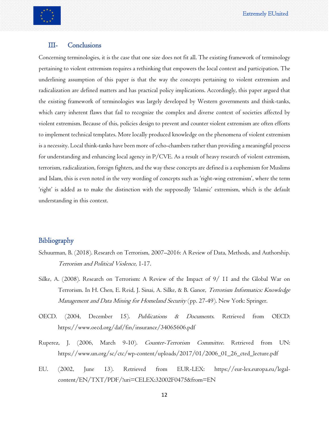

#### <span id="page-11-0"></span>III- Conclusions

Concerning terminologies, it is the case that one size does not fit all. The existing framework of terminology pertaining to violent extremism requires a rethinking that empowers the local context and participation. The underlining assumption of this paper is that the way the concepts pertaining to violent extremism and radicalization are defined matters and has practical policy implications. Accordingly, this paper argued that the existing framework of terminologies was largely developed by Western governments and think-tanks, which carry inherent flaws that fail to recognize the complex and diverse context of societies affected by violent extremism. Because of this, policies design to prevent and counter violent extremism are often efforts to implement technical templates. More locally produced knowledge on the phenomena of violent extremism is a necessity. Local think-tanks have been more of echo-chambers rather than providing a meaningful process for understanding and enhancing local agency in P/CVE. As a result of heavy research of violent extremism, terrorism, radicalization, foreign fighters, and the way these concepts are defined is a euphemism for Muslims and Islam, this is even noted in the very wording of concepts such as 'right-wing extremism', where the term 'right' is added as to make the distinction with the supposedly 'Islamic' extremism, which is the default understanding in this context.

#### <span id="page-11-1"></span>Bibliography

- Schuurman, B. (2018). Research on Terrorism, 2007–2016: A Review of Data, Methods, and Authorship. Terrorism and Political Violence, 1-17.
- Silke, A. (2008). Research on Terrorism: A Review of the Impact of 9/ 11 and the Global War on Terrorism. In H. Chen, E. Reid, J. Sinai, A. Silke, & B. Ganor, Terrorism Informatics: Knowledge Management and Data Mining for Homeland Security (pp. 27-49). New York: Springer.
- OECD. (2004, December 15). Publications & Documents. Retrieved from OECD: https://www.oecd.org/daf/fin/insurance/34065606.pdf
- Ruperez, J. (2006, March 9-10). Counter-Terrorism Committee. Retrieved from UN: https://www.un.org/sc/ctc/wp-content/uploads/2017/01/2006\_01\_26\_cted\_lecture.pdf
- EU. (2002, June 13). Retrieved from EUR-LEX: https://eur-lex.europa.eu/legalcontent/EN/TXT/PDF/?uri=CELEX:32002F0475&from=EN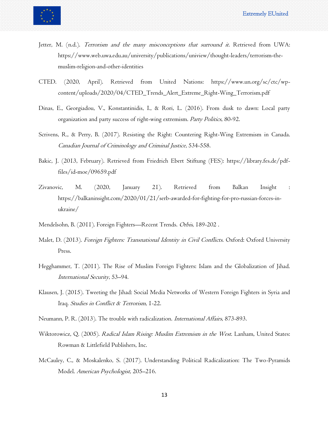

- Jetter, M. (n.d.). Terrorism and the many misconceptions that surround it. Retrieved from UWA: https://www.web.uwa.edu.au/university/publications/uniview/thought-leaders/terrorism-themuslim-religion-and-other-identities
- CTED. (2020, April). Retrieved from United Nations: https://www.un.org/sc/ctc/wpcontent/uploads/2020/04/CTED\_Trends\_Alert\_Extreme\_Right-Wing\_Terrorism.pdf
- Dinas, E., Georgiadou, V., Konstantinidis, I., & Rori, L. (2016). From dusk to dawn: Local party organization and party success of right-wing extremism. Party Politics, 80-92.
- Scrivens, R., & Perry, B. (2017). Resisting the Right: Countering Right-Wing Extremism in Canada. Canadian Journal of Criminology and Criminal Justice, 534-558.
- Bakic, J. (2013, February). Retrieved from Friedrich Ebert Stiftung (FES): https://library.fes.de/pdffiles/id-moe/09659.pdf
- Zivanovic, M. (2020, January 21). Retrieved from Balkan Insight : https://balkaninsight.com/2020/01/21/serb-awarded-for-fighting-for-pro-russian-forces-inukraine/
- Mendelsohn, B. (2011). Foreign Fighters—Recent Trends. Orbis, 189-202 .
- Malet, D. (2013). Foreign Fighters: Transnational Identity in Civil Conflicts. Oxford: Oxford University Press.
- Hegghammer, T. (2011). The Rise of Muslim Foreign Fighters: Islam and the Globalization of Jihad. International Security, 53–94.
- Klausen, J. (2015). Tweeting the Jihad: Social Media Networks of Western Foreign Fighters in Syria and Iraq. Studies in Conflict & Terrorism, 1-22.
- Neumann, P. R. (2013). The trouble with radicalization. International Affairs, 873-893.
- Wiktorowicz, Q. (2005). Radical Islam Rising: Muslim Extremism in the West. Lanham, United States: Rowman & Littlefield Publishers, Inc.
- McCauley, C., & Moskalenko, S. (2017). Understanding Political Radicalization: The Two-Pyramids Model. American Psychologist, 205–216.